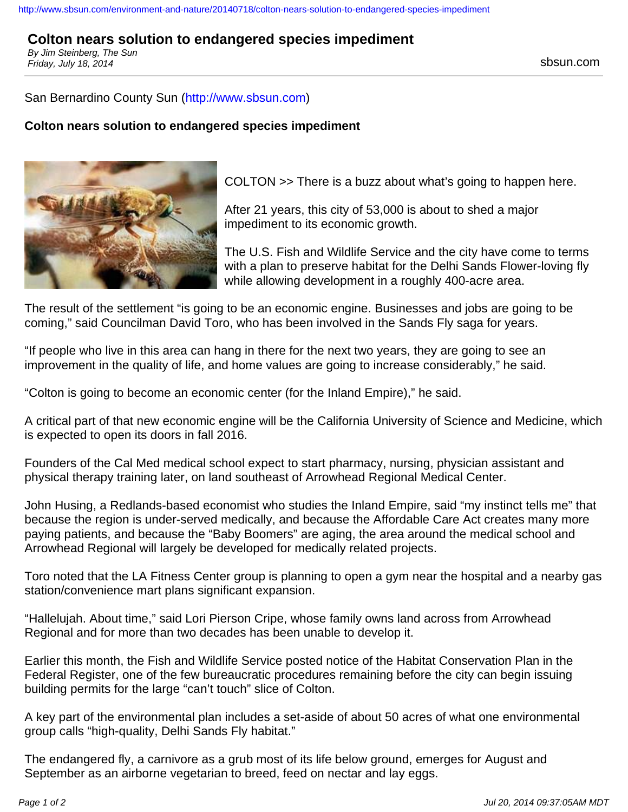#### <http://www.sbsun.com/environment-and-nature/20140718/colton-nears-solution-to-endangered-species-impediment>

# **Colton nears solution to endangered species impediment**

By Jim Steinberg, The Sun Friday, July 18, 2014 Sbsun.com

#### San Bernardino County Sun (<http://www.sbsun.com>)

### **Colton nears solution to endangered species impediment**



COLTON >> There is a buzz about what's going to happen here.

After 21 years, this city of 53,000 is about to shed a major impediment to its economic growth.

The U.S. Fish and Wildlife Service and the city have come to terms with a plan to preserve habitat for the Delhi Sands Flower-loving fly while allowing development in a roughly 400-acre area.

The result of the settlement "is going to be an economic engine. Businesses and jobs are going to be coming," said Councilman David Toro, who has been involved in the Sands Fly saga for years.

"If people who live in this area can hang in there for the next two years, they are going to see an improvement in the quality of life, and home values are going to increase considerably," he said.

"Colton is going to become an economic center (for the Inland Empire)," he said.

A critical part of that new economic engine will be the California University of Science and Medicine, which is expected to open its doors in fall 2016.

Founders of the Cal Med medical school expect to start pharmacy, nursing, physician assistant and physical therapy training later, on land southeast of Arrowhead Regional Medical Center.

John Husing, a Redlands-based economist who studies the Inland Empire, said "my instinct tells me" that because the region is under-served medically, and because the Affordable Care Act creates many more paying patients, and because the "Baby Boomers" are aging, the area around the medical school and Arrowhead Regional will largely be developed for medically related projects.

Toro noted that the LA Fitness Center group is planning to open a gym near the hospital and a nearby gas station/convenience mart plans significant expansion.

"Hallelujah. About time," said Lori Pierson Cripe, whose family owns land across from Arrowhead Regional and for more than two decades has been unable to develop it.

Earlier this month, the Fish and Wildlife Service posted notice of the Habitat Conservation Plan in the Federal Register, one of the few bureaucratic procedures remaining before the city can begin issuing building permits for the large "can't touch" slice of Colton.

A key part of the environmental plan includes a set-aside of about 50 acres of what one environmental group calls "high-quality, Delhi Sands Fly habitat."

The endangered fly, a carnivore as a grub most of its life below ground, emerges for August and September as an airborne vegetarian to breed, feed on nectar and lay eggs.